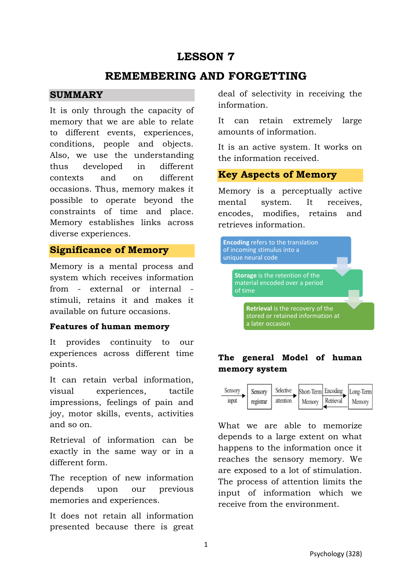# **LESSON 7**

# **REMEMBERING AND FORGETTING**

#### **SUMMARY**

It is only through the capacity of memory that we are able to relate to different events, experiences, conditions, people and objects. Also, we use the understanding thus developed in different contexts and on different occasions. Thus, memory makes it possible to operate beyond the constraints of time and place. Memory establishes links across diverse experiences.

### **Significance of Memory**

Memory is a mental process and system which receives information from - external or internal stimuli, retains it and makes it available on future occasions.

#### **Features of human memory**

It provides continuity to our experiences across different time points.

It can retain verbal information, visual experiences, tactile impressions, feelings of pain and joy, motor skills, events, activities and so on.

Retrieval of information can be exactly in the same way or in a different form.

The reception of new information depends upon our previous memories and experiences.

It does not retain all information presented because there is great deal of selectivity in receiving the information.

It can retain extremely large amounts of information.

It is an active system. It works on the information received.

### **Key Aspects of Memory**

Memory is a perceptually active mental system. It receives, encodes, modifies, retains and retrieves information.



## **The general Model of human memory system**



What we are able to memorize depends to a large extent on what happens to the information once it reaches the sensory memory. We are exposed to a lot of stimulation. The process of attention limits the input of information which we receive from the environment.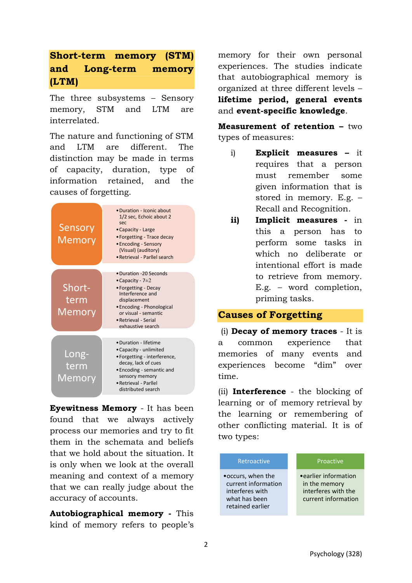# **Short-term memory (STM) and Long-term memory (LTM)**

The three subsystems – Sensory memory, STM and LTM are interrelated.

The nature and functioning of STM and LTM are different. The distinction may be made in terms of capacity, duration, type of information retained, and the causes of forgetting.



**Eyewitness Memory** - It has been found that we always actively process our memories and try to fit them in the schemata and beliefs that we hold about the situation. It is only when we look at the overall meaning and context of a memory that we can really judge about the accuracy of accounts.

**Autobiographical memory -** This kind of memory refers to people's memory for their own personal experiences. The studies indicate that autobiographical memory is organized at three different levels – **lifetime period, general events**  and **event-specific knowledge**.

**Measurement of retention –** two types of measures:

- i) **Explicit measures –** it requires that a person must remember some given information that is stored in memory. E.g. – Recall and Recognition.
- **ii) Implicit measures** in this a person has to perform some tasks in which no deliberate or intentional effort is made to retrieve from memory. E.g. – word completion, priming tasks.

### **Causes of Forgetting**

(i) **Decay of memory traces** - It is a common experience that memories of many events and experiences become "dim" over time.

(ii) **Interference** - the blocking of learning or of memory [retrieval](https://dictionary.apa.org/retrieval) by the learning or remembering of other conflicting material. It is of two types:

| Retroactive                                                                                       | Proactive                                                                            |
|---------------------------------------------------------------------------------------------------|--------------------------------------------------------------------------------------|
| • occurs, when the<br>current information<br>interferes with<br>what has been<br>retained earlier | • earlier information<br>in the memory<br>interferes with the<br>current information |
|                                                                                                   |                                                                                      |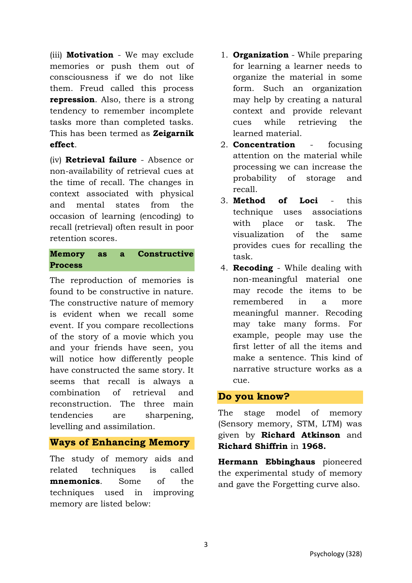(iii) **Motivation** - We may exclude memories or push them out of consciousness if we do not like them. Freud called this process **repression**. Also, there is a strong tendency to remember incomplete tasks more than completed tasks. This has been termed as **Zeigarnik effect**.

(iv) **Retrieval failure** - Absence or non-availability of retrieval cues at the time of recall. The changes in context associated with physical and mental states from the occasion of learning (encoding) to recall (retrieval) often result in poor retention scores.

### **Memory as a Constructive Process**

The reproduction of memories is found to be constructive in nature. The constructive nature of memory is evident when we recall some event. If you compare recollections of the story of a movie which you and your friends have seen, you will notice how differently people have constructed the same story. It seems that recall is always a combination of retrieval and reconstruction. The three main tendencies are sharpening, levelling and assimilation.

## **Ways of Enhancing Memory**

The study of memory aids and related techniques is called **mnemonics**. Some of the techniques used in improving memory are listed below:

- 1. **Organization** While preparing for learning a learner needs to organize the material in some form. Such an organization may help by creating a natural context and provide relevant cues while retrieving the learned material.
- 2. **Concentration** focusing attention on the material while processing we can increase the probability of storage and recall.
- 3. **Method of Loci** this technique uses associations with place or task. The visualization of the same provides cues for recalling the task.
- 4. **Recoding** While dealing with non-meaningful material one may recode the items to be remembered in a more meaningful manner. Recoding may take many forms. For example, people may use the first letter of all the items and make a sentence. This kind of narrative structure works as a cue.

### **Do you know?**

The stage model of memory (Sensory memory, STM, LTM) was given by **Richard Atkinson** and **Richard Shiffrin** in **1968.** 

**Hermann Ebbinghaus** pioneered the experimental study of memory and gave the Forgetting curve also.